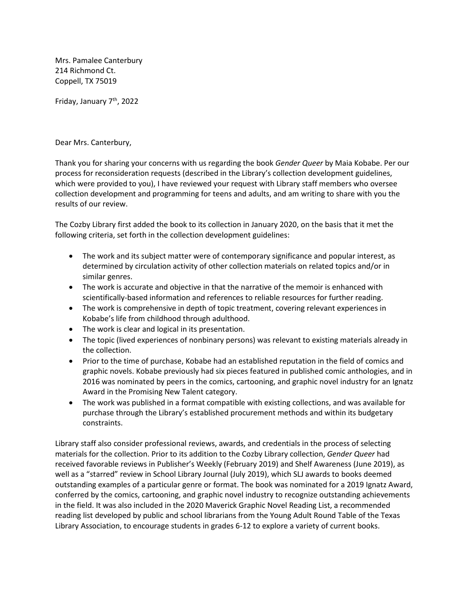Mrs. Pamalee Canterbury 214 Richmond Ct. Coppell, TX 75019

Friday, January 7<sup>th</sup>, 2022

Dear Mrs. Canterbury,

Thank you for sharing your concerns with us regarding the book *Gender Queer* by Maia Kobabe. Per our process for reconsideration requests (described in the Library's collection development guidelines, which were provided to you), I have reviewed your request with Library staff members who oversee collection development and programming for teens and adults, and am writing to share with you the results of our review.

The Cozby Library first added the book to its collection in January 2020, on the basis that it met the following criteria, set forth in the collection development guidelines:

- The work and its subject matter were of contemporary significance and popular interest, as determined by circulation activity of other collection materials on related topics and/or in similar genres.
- The work is accurate and objective in that the narrative of the memoir is enhanced with scientifically-based information and references to reliable resources for further reading.
- The work is comprehensive in depth of topic treatment, covering relevant experiences in Kobabe's life from childhood through adulthood.
- The work is clear and logical in its presentation.
- The topic (lived experiences of nonbinary persons) was relevant to existing materials already in the collection.
- Prior to the time of purchase, Kobabe had an established reputation in the field of comics and graphic novels. Kobabe previously had six pieces featured in published comic anthologies, and in 2016 was nominated by peers in the comics, cartooning, and graphic novel industry for an Ignatz Award in the Promising New Talent category.
- The work was published in a format compatible with existing collections, and was available for purchase through the Library's established procurement methods and within its budgetary constraints.

Library staff also consider professional reviews, awards, and credentials in the process of selecting materials for the collection. Prior to its addition to the Cozby Library collection, *Gender Queer* had received favorable reviews in Publisher's Weekly (February 2019) and Shelf Awareness (June 2019), as well as a "starred" review in School Library Journal (July 2019), which SLJ awards to books deemed outstanding examples of a particular genre or format. The book was nominated for a 2019 Ignatz Award, conferred by the comics, cartooning, and graphic novel industry to recognize outstanding achievements in the field. It was also included in the 2020 Maverick Graphic Novel Reading List, a recommended reading list developed by public and school librarians from the Young Adult Round Table of the Texas Library Association, to encourage students in grades 6-12 to explore a variety of current books.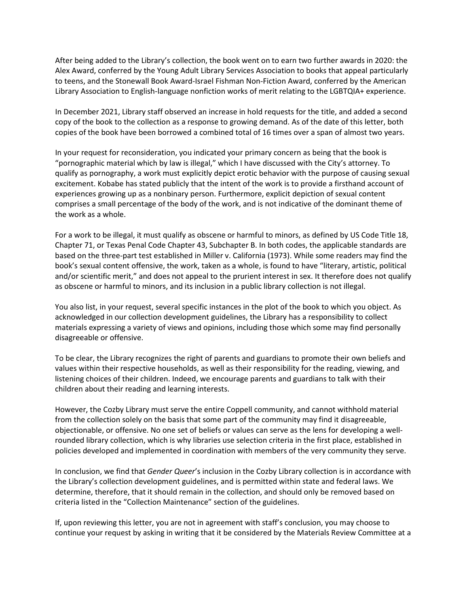After being added to the Library's collection, the book went on to earn two further awards in 2020: the Alex Award, conferred by the Young Adult Library Services Association to books that appeal particularly to teens, and the Stonewall Book Award-Israel Fishman Non-Fiction Award, conferred by the American Library Association to English-language nonfiction works of merit relating to the LGBTQIA+ experience.

In December 2021, Library staff observed an increase in hold requests for the title, and added a second copy of the book to the collection as a response to growing demand. As of the date of this letter, both copies of the book have been borrowed a combined total of 16 times over a span of almost two years.

In your request for reconsideration, you indicated your primary concern as being that the book is "pornographic material which by law is illegal," which I have discussed with the City's attorney. To qualify as pornography, a work must explicitly depict erotic behavior with the purpose of causing sexual excitement. Kobabe has stated publicly that the intent of the work is to provide a firsthand account of experiences growing up as a nonbinary person. Furthermore, explicit depiction of sexual content comprises a small percentage of the body of the work, and is not indicative of the dominant theme of the work as a whole.

For a work to be illegal, it must qualify as obscene or harmful to minors, as defined by US Code Title 18, Chapter 71, or Texas Penal Code Chapter 43, Subchapter B. In both codes, the applicable standards are based on the three-part test established in Miller v. California (1973). While some readers may find the book's sexual content offensive, the work, taken as a whole, is found to have "literary, artistic, political and/or scientific merit," and does not appeal to the prurient interest in sex. It therefore does not qualify as obscene or harmful to minors, and its inclusion in a public library collection is not illegal.

You also list, in your request, several specific instances in the plot of the book to which you object. As acknowledged in our collection development guidelines, the Library has a responsibility to collect materials expressing a variety of views and opinions, including those which some may find personally disagreeable or offensive.

To be clear, the Library recognizes the right of parents and guardians to promote their own beliefs and values within their respective households, as well as their responsibility for the reading, viewing, and listening choices of their children. Indeed, we encourage parents and guardians to talk with their children about their reading and learning interests.

However, the Cozby Library must serve the entire Coppell community, and cannot withhold material from the collection solely on the basis that some part of the community may find it disagreeable, objectionable, or offensive. No one set of beliefs or values can serve as the lens for developing a wellrounded library collection, which is why libraries use selection criteria in the first place, established in policies developed and implemented in coordination with members of the very community they serve.

In conclusion, we find that *Gender Queer*'s inclusion in the Cozby Library collection is in accordance with the Library's collection development guidelines, and is permitted within state and federal laws. We determine, therefore, that it should remain in the collection, and should only be removed based on criteria listed in the "Collection Maintenance" section of the guidelines.

If, upon reviewing this letter, you are not in agreement with staff's conclusion, you may choose to continue your request by asking in writing that it be considered by the Materials Review Committee at a